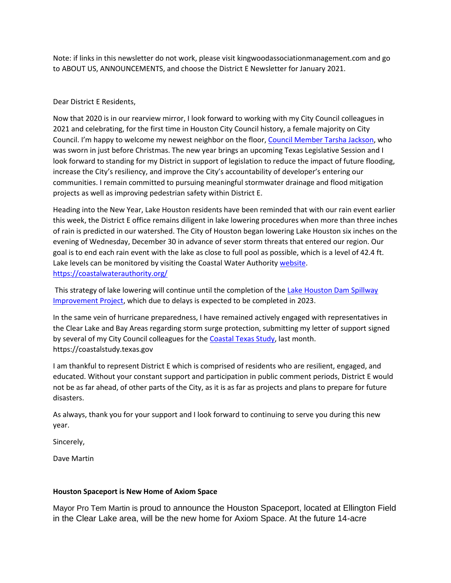Note: if links in this newsletter do not work, please visit kingwoodassociationmanagement.com and go to ABOUT US, ANNOUNCEMENTS, and choose the District E Newsletter for January 2021.

# Dear District E Residents,

Now that 2020 is in our rearview mirror, I look forward to working with my City Council colleagues in 2021 and celebrating, for the first time in Houston City Council history, a female majority on City Council. I'm happy to welcome my newest neighbor on the floor, [Council Member Tarsha Jackson,](http://r20.rs6.net/tn.jsp?f=001dgfJ9ueew6UydRS6suYG-J5awsS1r8oynq5KSMFDG3aRCFXB9H4M-Jsb43K1jXl0u3uKkhpBTfBUb5Gwy4v8XUQSY058lypj60cFkXhdTehZyxkbQQ9OhN97qxx7e9nuuIgKySCo-RUQxgzQbEGYzbP1N_ZJkX1shPMUuGg8MWI=&c=-VVIfmZYsVOSAlyqi9aJnlekTz62EroUiA6ZEzMUuMcfMEAPkuXNgA==&ch=L8pRW-Y7bJ3bLPPAFox_6UBZyLRMRPIaU6ljAzWfDdWGyX_zRxnvTA==) who was sworn in just before Christmas. The new year brings an upcoming Texas Legislative Session and I look forward to standing for my District in support of legislation to reduce the impact of future flooding, increase the City's resiliency, and improve the City's accountability of developer's entering our communities. I remain committed to pursuing meaningful stormwater drainage and flood mitigation projects as well as improving pedestrian safety within District E.

Heading into the New Year, Lake Houston residents have been reminded that with our rain event earlier this week, the District E office remains diligent in lake lowering procedures when more than three inches of rain is predicted in our watershed. The City of Houston began lowering Lake Houston six inches on the evening of Wednesday, December 30 in advance of sever storm threats that entered our region. Our goal is to end each rain event with the lake as close to full pool as possible, which is a level of 42.4 ft. Lake levels can be monitored by visiting the Coastal Water Authority [website.](http://r20.rs6.net/tn.jsp?f=001dgfJ9ueew6UydRS6suYG-J5awsS1r8oynq5KSMFDG3aRCFXB9H4M-Dr9HSmRt3gZZcXbRlhdUnRVmKWmBfYHIakJJ0QjXnITEO-sTXTPHyW9XKtHz_O3lBkNVoSbwWP7hs3ObXexuuuUeBmYWK1Q4QHvFx1q6J5K&c=-VVIfmZYsVOSAlyqi9aJnlekTz62EroUiA6ZEzMUuMcfMEAPkuXNgA==&ch=L8pRW-Y7bJ3bLPPAFox_6UBZyLRMRPIaU6ljAzWfDdWGyX_zRxnvTA==) <https://coastalwaterauthority.org/>

This strategy of lake lowering will continue until the completion of the [Lake Houston Dam Spillway](http://r20.rs6.net/tn.jsp?f=001dgfJ9ueew6UydRS6suYG-J5awsS1r8oynq5KSMFDG3aRCFXB9H4M-HqhTWvTsITb9TFykU4qGcCPyK-sTIA64Ut1KxESW-1y53OSwDiXN_rrBh53lYs0ABL4qb5wcM9osnyTdE6ZJTJl0mqdY6XlE1r7wnUjvzbavfG7o1tFbnwlCkwxbWPU4DrD5R86yNDmB92FuLbRSHE=&c=-VVIfmZYsVOSAlyqi9aJnlekTz62EroUiA6ZEzMUuMcfMEAPkuXNgA==&ch=L8pRW-Y7bJ3bLPPAFox_6UBZyLRMRPIaU6ljAzWfDdWGyX_zRxnvTA==)  [Improvement Project,](http://r20.rs6.net/tn.jsp?f=001dgfJ9ueew6UydRS6suYG-J5awsS1r8oynq5KSMFDG3aRCFXB9H4M-HqhTWvTsITb9TFykU4qGcCPyK-sTIA64Ut1KxESW-1y53OSwDiXN_rrBh53lYs0ABL4qb5wcM9osnyTdE6ZJTJl0mqdY6XlE1r7wnUjvzbavfG7o1tFbnwlCkwxbWPU4DrD5R86yNDmB92FuLbRSHE=&c=-VVIfmZYsVOSAlyqi9aJnlekTz62EroUiA6ZEzMUuMcfMEAPkuXNgA==&ch=L8pRW-Y7bJ3bLPPAFox_6UBZyLRMRPIaU6ljAzWfDdWGyX_zRxnvTA==) which due to delays is expected to be completed in 2023.

In the same vein of hurricane preparedness, I have remained actively engaged with representatives in the Clear Lake and Bay Areas regarding storm surge protection, submitting my letter of support signed by several of my City Council colleagues for the [Coastal Texas Study,](http://r20.rs6.net/tn.jsp?f=001dgfJ9ueew6UydRS6suYG-J5awsS1r8oynq5KSMFDG3aRCFXB9H4M-DJbLyTHDfcFzemO3SjW_7NkeSXYrKT-RAzEEryJN9ozHsGhshNJJfpudzEgxz_WvsYJoc1BIjc6g-KpW-IczrIR_ZJjT0rwf_x_E2qq4lhR&c=-VVIfmZYsVOSAlyqi9aJnlekTz62EroUiA6ZEzMUuMcfMEAPkuXNgA==&ch=L8pRW-Y7bJ3bLPPAFox_6UBZyLRMRPIaU6ljAzWfDdWGyX_zRxnvTA==) last month. https://coastalstudy.texas.gov

I am thankful to represent District E which is comprised of residents who are resilient, engaged, and educated. Without your constant support and participation in public comment periods, District E would not be as far ahead, of other parts of the City, as it is as far as projects and plans to prepare for future disasters.

As always, thank you for your support and I look forward to continuing to serve you during this new year.

Sincerely,

Dave Martin

### **Houston Spaceport is New Home of Axiom Space**

Mayor Pro Tem Martin is proud to announce the Houston Spaceport, located at Ellington Field in the Clear Lake area, will be the new home for Axiom Space. At the future 14-acre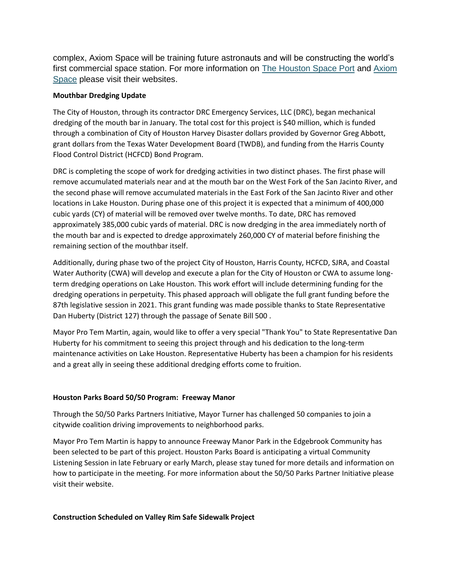complex, Axiom Space will be training future astronauts and will be constructing the world's first commercial space station. For more information on [The Houston Space Port](http://r20.rs6.net/tn.jsp?f=001dgfJ9ueew6UydRS6suYG-J5awsS1r8oynq5KSMFDG3aRCFXB9H4M-Jsb43K1jXl0S3xVhHsu5xQWicyhi5KTVJDBSSB5kFYK3P8kMZHCnB81m0wS7S48evPqx9UpVmNdLZzTivEwEkcEeh3iKu6NT-j_EWqXlQTO&c=-VVIfmZYsVOSAlyqi9aJnlekTz62EroUiA6ZEzMUuMcfMEAPkuXNgA==&ch=L8pRW-Y7bJ3bLPPAFox_6UBZyLRMRPIaU6ljAzWfDdWGyX_zRxnvTA==) and [Axiom](http://r20.rs6.net/tn.jsp?f=001dgfJ9ueew6UydRS6suYG-J5awsS1r8oynq5KSMFDG3aRCFXB9H4M-Jsb43K1jXl0kBzZ0inCgoBtIEw3WSmw4CE1mUjH09MdJ2YK-c_KvdJ75hPAXRhplVkOaiy7rS07HfIj_QzFBWc92jUUrUrpoQ==&c=-VVIfmZYsVOSAlyqi9aJnlekTz62EroUiA6ZEzMUuMcfMEAPkuXNgA==&ch=L8pRW-Y7bJ3bLPPAFox_6UBZyLRMRPIaU6ljAzWfDdWGyX_zRxnvTA==)  [Space](http://r20.rs6.net/tn.jsp?f=001dgfJ9ueew6UydRS6suYG-J5awsS1r8oynq5KSMFDG3aRCFXB9H4M-Jsb43K1jXl0kBzZ0inCgoBtIEw3WSmw4CE1mUjH09MdJ2YK-c_KvdJ75hPAXRhplVkOaiy7rS07HfIj_QzFBWc92jUUrUrpoQ==&c=-VVIfmZYsVOSAlyqi9aJnlekTz62EroUiA6ZEzMUuMcfMEAPkuXNgA==&ch=L8pRW-Y7bJ3bLPPAFox_6UBZyLRMRPIaU6ljAzWfDdWGyX_zRxnvTA==) please visit their websites.

# **Mouthbar Dredging Update**

The City of Houston, through its contractor DRC Emergency Services, LLC (DRC), began mechanical dredging of the mouth bar in January. The total cost for this project is \$40 million, which is funded through a combination of City of Houston Harvey Disaster dollars provided by Governor Greg Abbott, grant dollars from the Texas Water Development Board (TWDB), and funding from the Harris County Flood Control District (HCFCD) Bond Program.

DRC is completing the scope of work for dredging activities in two distinct phases. The first phase will remove accumulated materials near and at the mouth bar on the West Fork of the San Jacinto River, and the second phase will remove accumulated materials in the East Fork of the San Jacinto River and other locations in Lake Houston. During phase one of this project it is expected that a minimum of 400,000 cubic yards (CY) of material will be removed over twelve months. To date, DRC has removed approximately 385,000 cubic yards of material. DRC is now dredging in the area immediately north of the mouth bar and is expected to dredge approximately 260,000 CY of material before finishing the remaining section of the mouthbar itself.

Additionally, during phase two of the project City of Houston, Harris County, HCFCD, SJRA, and Coastal Water Authority (CWA) will develop and execute a plan for the City of Houston or CWA to assume longterm dredging operations on Lake Houston. This work effort will include determining funding for the dredging operations in perpetuity. This phased approach will obligate the full grant funding before the 87th legislative session in 2021. This grant funding was made possible thanks to State Representative Dan Huberty (District 127) through the passage of Senate Bill 500 .

Mayor Pro Tem Martin, again, would like to offer a very special "Thank You" to State Representative Dan Huberty for his commitment to seeing this project through and his dedication to the long-term maintenance activities on Lake Houston. Representative Huberty has been a champion for his residents and a great ally in seeing these additional dredging efforts come to fruition.

### **Houston Parks Board 50/50 Program: Freeway Manor**

Through the 50/50 Parks Partners Initiative, Mayor Turner has challenged 50 companies to join a citywide coalition driving improvements to neighborhood parks.

Mayor Pro Tem Martin is happy to announce Freeway Manor Park in the Edgebrook Community has been selected to be part of this project. Houston Parks Board is anticipating a virtual Community Listening Session in late February or early March, please stay tuned for more details and information on how to participate in the meeting. For more information about the 50/50 Parks Partner Initiative please visit their website.

### **Construction Scheduled on Valley Rim Safe Sidewalk Project**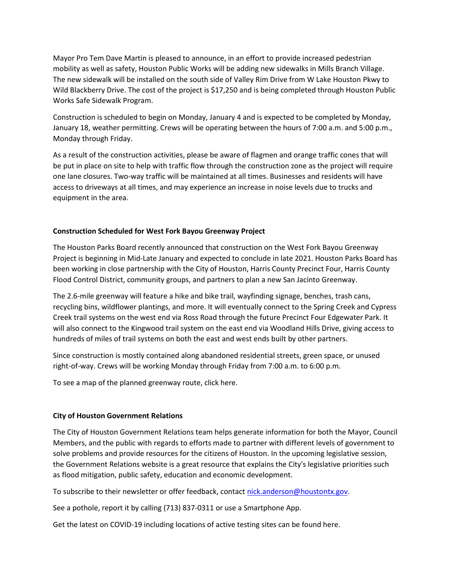Mayor Pro Tem Dave Martin is pleased to announce, in an effort to provide increased pedestrian mobility as well as safety, Houston Public Works will be adding new sidewalks in Mills Branch Village. The new sidewalk will be installed on the south side of Valley Rim Drive from W Lake Houston Pkwy to Wild Blackberry Drive. The cost of the project is \$17,250 and is being completed through Houston Public Works Safe Sidewalk Program.

Construction is scheduled to begin on Monday, January 4 and is expected to be completed by Monday, January 18, weather permitting. Crews will be operating between the hours of 7:00 a.m. and 5:00 p.m., Monday through Friday.

As a result of the construction activities, please be aware of flagmen and orange traffic cones that will be put in place on site to help with traffic flow through the construction zone as the project will require one lane closures. Two-way traffic will be maintained at all times. Businesses and residents will have access to driveways at all times, and may experience an increase in noise levels due to trucks and equipment in the area.

# **Construction Scheduled for West Fork Bayou Greenway Project**

The Houston Parks Board recently announced that construction on the West Fork Bayou Greenway Project is beginning in Mid-Late January and expected to conclude in late 2021. Houston Parks Board has been working in close partnership with the City of Houston, Harris County Precinct Four, Harris County Flood Control District, community groups, and partners to plan a new San Jacinto Greenway.

The 2.6-mile greenway will feature a hike and bike trail, wayfinding signage, benches, trash cans, recycling bins, wildflower plantings, and more. It will eventually connect to the Spring Creek and Cypress Creek trail systems on the west end via Ross Road through the future Precinct Four Edgewater Park. It will also connect to the Kingwood trail system on the east end via Woodland Hills Drive, giving access to hundreds of miles of trail systems on both the east and west ends built by other partners.

Since construction is mostly contained along abandoned residential streets, green space, or unused right-of-way. Crews will be working Monday through Friday from 7:00 a.m. to 6:00 p.m.

To see a map of the planned greenway route, click here.

### **City of Houston Government Relations**

The City of Houston Government Relations team helps generate information for both the Mayor, Council Members, and the public with regards to efforts made to partner with different levels of government to solve problems and provide resources for the citizens of Houston. In the upcoming legislative session, the Government Relations website is a great resource that explains the City's legislative priorities such as flood mitigation, public safety, education and economic development.

To subscribe to their newsletter or offer feedback, contact [nick.anderson@houstontx.gov.](mailto:nick.anderson@houstontx.gov)

See a pothole, report it by calling (713) 837-0311 or use a Smartphone App.

Get the latest on COVID-19 including locations of active testing sites can be found here.